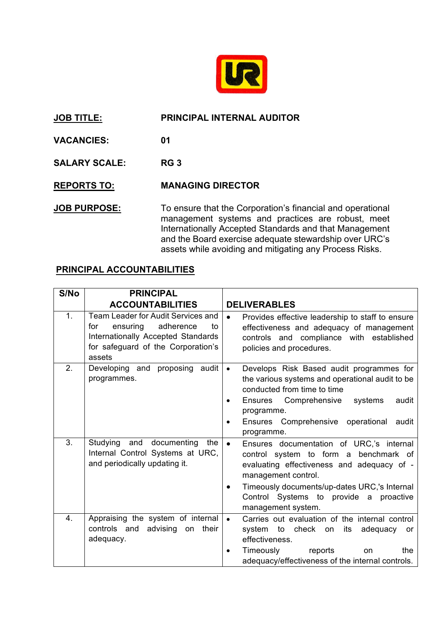

## **JOB TITLE: PRINCIPAL INTERNAL AUDITOR**

**VACANCIES: 01**

**SALARY SCALE: RG 3**

**REPORTS TO: MANAGING DIRECTOR**

**JOB PURPOSE:** To ensure that the Corporation's financial and operational management systems and practices are robust, meet Internationally Accepted Standards and that Management and the Board exercise adequate stewardship over URC's assets while avoiding and mitigating any Process Risks.

## **PRINCIPAL ACCOUNTABILITIES**

| S/No | <b>PRINCIPAL</b>                                                                                                                                               |                                                                                                                                                                                                                                                                                          |
|------|----------------------------------------------------------------------------------------------------------------------------------------------------------------|------------------------------------------------------------------------------------------------------------------------------------------------------------------------------------------------------------------------------------------------------------------------------------------|
|      | <b>ACCOUNTABILITIES</b>                                                                                                                                        | <b>DELIVERABLES</b>                                                                                                                                                                                                                                                                      |
| 1.   | Team Leader for Audit Services and<br>ensuring<br>adherence<br>for<br>to<br>Internationally Accepted Standards<br>for safeguard of the Corporation's<br>assets | Provides effective leadership to staff to ensure<br>effectiveness and adequacy of management<br>controls and compliance with established<br>policies and procedures.                                                                                                                     |
| 2.   | Developing and proposing audit<br>programmes.                                                                                                                  | Develops Risk Based audit programmes for<br>$\bullet$<br>the various systems and operational audit to be<br>conducted from time to time<br>Ensures Comprehensive<br>audit<br>systems<br>$\bullet$<br>programme.<br>Ensures Comprehensive operational<br>audit<br>programme.              |
| 3.   | Studying and documenting the<br>Internal Control Systems at URC,<br>and periodically updating it.                                                              | Ensures documentation of URC,'s internal<br>$\bullet$<br>control system to form a benchmark of<br>evaluating effectiveness and adequacy of -<br>management control.<br>Timeously documents/up-dates URC,'s Internal<br>٠<br>Control Systems to provide a proactive<br>management system. |
| 4.   | Appraising the system of internal<br>controls and advising on their<br>adequacy.                                                                               | Carries out evaluation of the internal control<br>$\bullet$<br>system to check on its<br>adequacy<br>or<br>effectiveness.<br>Timeously<br>the<br>reports<br><b>on</b><br>adequacy/effectiveness of the internal controls.                                                                |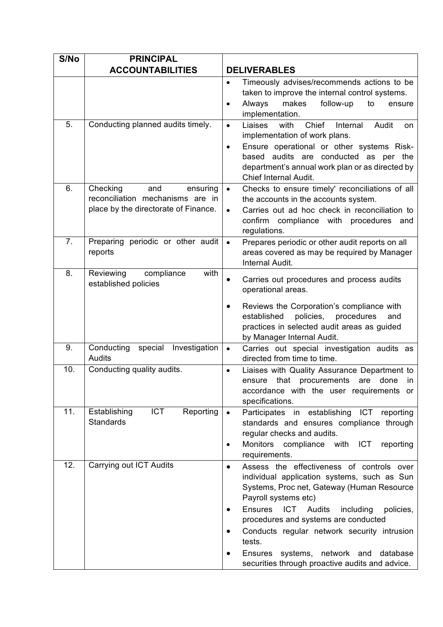| S/No | <b>PRINCIPAL</b>                                                                                        |                                                                                                                                                                                                                                                                                                                                                                                                                                                        |
|------|---------------------------------------------------------------------------------------------------------|--------------------------------------------------------------------------------------------------------------------------------------------------------------------------------------------------------------------------------------------------------------------------------------------------------------------------------------------------------------------------------------------------------------------------------------------------------|
|      | <b>ACCOUNTABILITIES</b>                                                                                 | <b>DELIVERABLES</b>                                                                                                                                                                                                                                                                                                                                                                                                                                    |
|      |                                                                                                         | Timeously advises/recommends actions to be<br>$\bullet$<br>taken to improve the internal control systems.<br>makes<br>follow-up<br>Always<br>to<br>ensure<br>$\bullet$<br>implementation.                                                                                                                                                                                                                                                              |
| 5.   | Conducting planned audits timely.                                                                       | Chief<br>Liaises<br>with<br>Internal<br>Audit<br>$\bullet$<br>on<br>implementation of work plans.<br>Ensure operational or other systems Risk-<br>$\bullet$<br>based audits are conducted as per the<br>department's annual work plan or as directed by<br><b>Chief Internal Audit.</b>                                                                                                                                                                |
| 6.   | Checking<br>and<br>ensuring<br>reconciliation mechanisms are in<br>place by the directorate of Finance. | Checks to ensure timely' reconciliations of all<br>$\bullet$<br>the accounts in the accounts system.<br>Carries out ad hoc check in reconciliation to<br>$\bullet$<br>confirm compliance with procedures and<br>regulations.                                                                                                                                                                                                                           |
| 7.   | Preparing periodic or other audit<br>reports                                                            | Prepares periodic or other audit reports on all<br>$\bullet$<br>areas covered as may be required by Manager<br>Internal Audit.                                                                                                                                                                                                                                                                                                                         |
| 8.   | with<br>Reviewing<br>compliance<br>established policies                                                 | Carries out procedures and process audits<br>$\bullet$<br>operational areas.<br>Reviews the Corporation's compliance with<br>$\bullet$<br>established<br>policies,<br>procedures<br>and<br>practices in selected audit areas as guided<br>by Manager Internal Audit.                                                                                                                                                                                   |
| 9.   | Conducting special Investigation<br>Audits                                                              | Carries out special investigation audits as<br>$\bullet$<br>directed from time to time.                                                                                                                                                                                                                                                                                                                                                                |
| 10.  | Conducting quality audits.                                                                              | Liaises with Quality Assurance Department to<br>$\bullet$<br>that procurements<br>are<br>done<br>ensure<br>in<br>accordance with the user requirements or<br>specifications.                                                                                                                                                                                                                                                                           |
| 11.  | <b>ICT</b><br>Reporting<br>Establishing<br><b>Standards</b>                                             | Participates in establishing ICT reporting<br>$\bullet$<br>standards and ensures compliance through<br>regular checks and audits.<br>Monitors compliance with ICT<br>reporting<br>$\bullet$<br>requirements.                                                                                                                                                                                                                                           |
| 12.  | Carrying out ICT Audits                                                                                 | Assess the effectiveness of controls over<br>$\bullet$<br>individual application systems, such as Sun<br>Systems, Proc net, Gateway (Human Resource<br>Payroll systems etc)<br><b>Ensures</b><br><b>ICT</b> Audits<br>including<br>policies,<br>$\bullet$<br>procedures and systems are conducted<br>Conducts regular network security intrusion<br>tests.<br>Ensures systems, network and database<br>securities through proactive audits and advice. |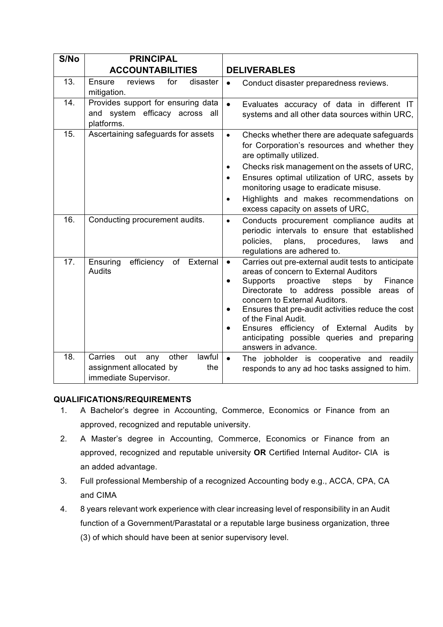| S/No | <b>PRINCIPAL</b>                                                                                    |                                                                                                                                                                                                                                                                                                                                                                                                                                                     |
|------|-----------------------------------------------------------------------------------------------------|-----------------------------------------------------------------------------------------------------------------------------------------------------------------------------------------------------------------------------------------------------------------------------------------------------------------------------------------------------------------------------------------------------------------------------------------------------|
|      | <b>ACCOUNTABILITIES</b>                                                                             | <b>DELIVERABLES</b>                                                                                                                                                                                                                                                                                                                                                                                                                                 |
| 13.  | Ensure<br>reviews<br>for<br>disaster<br>mitigation.                                                 | Conduct disaster preparedness reviews.<br>$\bullet$                                                                                                                                                                                                                                                                                                                                                                                                 |
| 14.  | Provides support for ensuring data<br>and system efficacy across all<br>platforms.                  | $\bullet$<br>Evaluates accuracy of data in different IT<br>systems and all other data sources within URC,                                                                                                                                                                                                                                                                                                                                           |
| 15.  | Ascertaining safeguards for assets                                                                  | Checks whether there are adequate safeguards<br>$\bullet$<br>for Corporation's resources and whether they<br>are optimally utilized.<br>Checks risk management on the assets of URC,<br>$\bullet$<br>Ensures optimal utilization of URC, assets by<br>monitoring usage to eradicate misuse.<br>Highlights and makes recommendations on<br>excess capacity on assets of URC,                                                                         |
| 16.  | Conducting procurement audits.                                                                      | Conducts procurement compliance audits at<br>$\bullet$<br>periodic intervals to ensure that established<br>policies,<br>plans,<br>procedures,<br>laws<br>and<br>regulations are adhered to.                                                                                                                                                                                                                                                         |
| 17.  | efficiency<br>External<br>Ensuring<br>of<br>Audits                                                  | Carries out pre-external audit tests to anticipate<br>$\bullet$<br>areas of concern to External Auditors<br>Supports<br>proactive<br>steps<br>by<br>Finance<br>$\bullet$<br>Directorate to address possible areas of<br>concern to External Auditors.<br>Ensures that pre-audit activities reduce the cost<br>of the Final Audit.<br>Ensures efficiency of External Audits by<br>anticipating possible queries and preparing<br>answers in advance. |
| 18.  | lawful<br>Carries<br>out<br>other<br>any<br>assignment allocated by<br>the<br>immediate Supervisor. | $\bullet$<br>The jobholder is cooperative and readily<br>responds to any ad hoc tasks assigned to him.                                                                                                                                                                                                                                                                                                                                              |

## **QUALIFICATIONS/REQUIREMENTS**

- 1. A Bachelor's degree in Accounting, Commerce, Economics or Finance from an approved, recognized and reputable university.
- 2. A Master's degree in Accounting, Commerce, Economics or Finance from an approved, recognized and reputable university **OR** Certified Internal Auditor- CIA is an added advantage.
- 3. Full professional Membership of a recognized Accounting body e.g., ACCA, CPA, CA and CIMA
- 4. 8 years relevant work experience with clear increasing level of responsibility in an Audit function of a Government/Parastatal or a reputable large business organization, three (3) of which should have been at senior supervisory level.